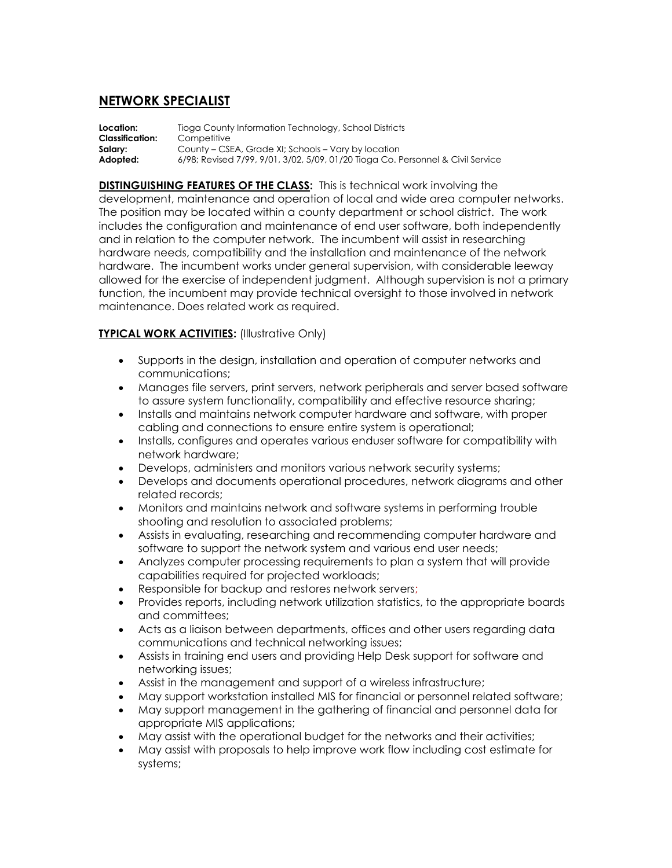## **NETWORK SPECIALIST**

**Location:** Tioga County Information Technology, School Districts **Classification:** Competitive **Salary:** County – CSEA, Grade XI; Schools – Vary by location **Adopted:** 6/98; Revised 7/99, 9/01, 3/02, 5/09, 01/20 Tioga Co. Personnel & Civil Service

**DISTINGUISHING FEATURES OF THE CLASS:** This is technical work involving the development, maintenance and operation of local and wide area computer networks. The position may be located within a county department or school district. The work includes the configuration and maintenance of end user software, both independently and in relation to the computer network. The incumbent will assist in researching hardware needs, compatibility and the installation and maintenance of the network hardware. The incumbent works under general supervision, with considerable leeway allowed for the exercise of independent judgment. Although supervision is not a primary function, the incumbent may provide technical oversight to those involved in network maintenance. Does related work as required.

## **TYPICAL WORK ACTIVITIES:** (Illustrative Only)

- Supports in the design, installation and operation of computer networks and communications;
- Manages file servers, print servers, network peripherals and server based software to assure system functionality, compatibility and effective resource sharing;
- Installs and maintains network computer hardware and software, with proper cabling and connections to ensure entire system is operational;
- Installs, configures and operates various enduser software for compatibility with network hardware;
- Develops, administers and monitors various network security systems;
- Develops and documents operational procedures, network diagrams and other related records;
- Monitors and maintains network and software systems in performing trouble shooting and resolution to associated problems;
- Assists in evaluating, researching and recommending computer hardware and software to support the network system and various end user needs;
- Analyzes computer processing requirements to plan a system that will provide capabilities required for projected workloads;
- Responsible for backup and restores network servers;
- Provides reports, including network utilization statistics, to the appropriate boards and committees;
- Acts as a liaison between departments, offices and other users regarding data communications and technical networking issues;
- Assists in training end users and providing Help Desk support for software and networking issues;
- Assist in the management and support of a wireless infrastructure;
- May support workstation installed MIS for financial or personnel related software;
- May support management in the gathering of financial and personnel data for appropriate MIS applications;
- May assist with the operational budget for the networks and their activities;
- May assist with proposals to help improve work flow including cost estimate for systems;